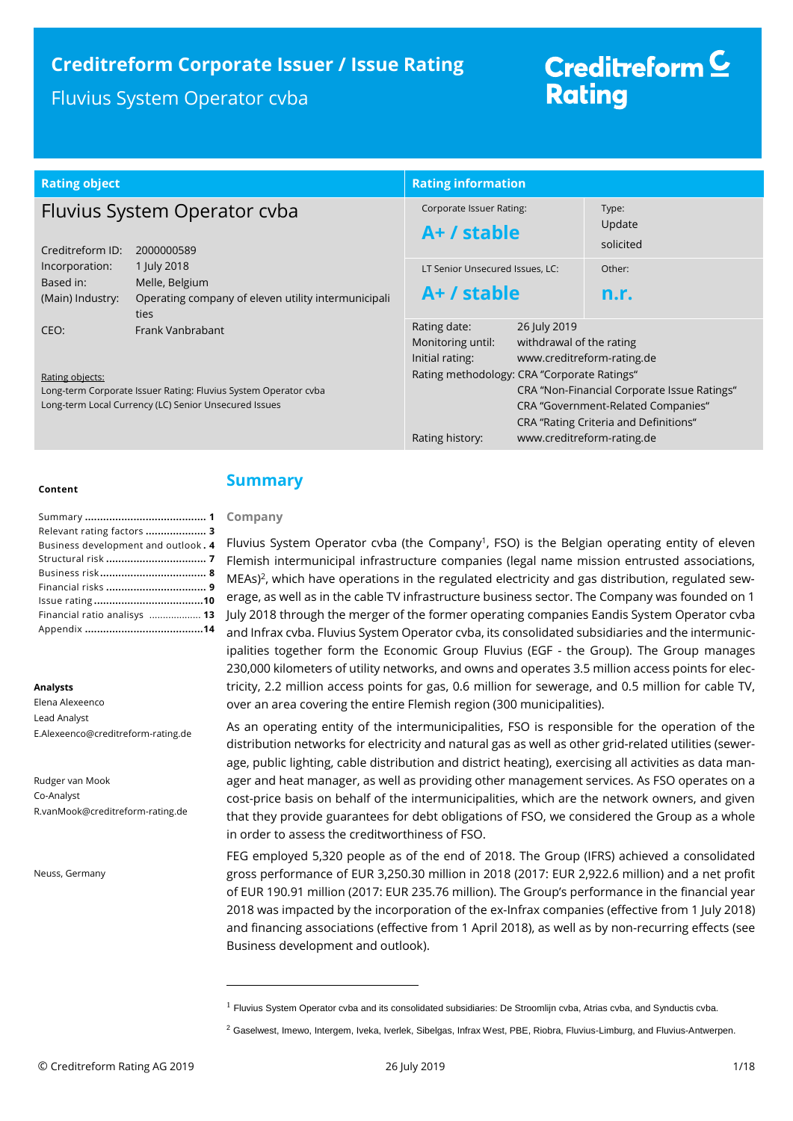# **Creditreform Corporate Issuer / Issue Rating**

Fluvius System Operator cvba

# Creditreform  $\subseteq$ **Rating**

| <b>Rating object</b>                                           |                                                                                                                                              | <b>Rating information</b>                                                                                                                                                                                           |                                                                     |                                             |  |
|----------------------------------------------------------------|----------------------------------------------------------------------------------------------------------------------------------------------|---------------------------------------------------------------------------------------------------------------------------------------------------------------------------------------------------------------------|---------------------------------------------------------------------|---------------------------------------------|--|
| Fluvius System Operator cvba<br>Creditreform ID:<br>2000000589 |                                                                                                                                              | Corporate Issuer Rating:<br>A+ / stable                                                                                                                                                                             |                                                                     | Type:<br>Update<br>solicited                |  |
| Incorporation:<br>Based in:<br>(Main) Industry:                | 1 July 2018<br>Melle, Belgium<br>Operating company of eleven utility intermunicipali<br><b>ties</b>                                          | LT Senior Unsecured Issues, LC:<br>A+ / stable                                                                                                                                                                      |                                                                     | Other:<br>n.r.                              |  |
| CEO:<br>Rating objects:                                        | Frank Vanbrabant<br>Long-term Corporate Issuer Rating: Fluvius System Operator cvba<br>Long-term Local Currency (LC) Senior Unsecured Issues | Rating date:<br>26 July 2019<br>withdrawal of the rating<br>Monitoring until:<br>www.creditreform-rating.de<br>Initial rating:<br>Rating methodology: CRA "Corporate Ratings"<br>CRA "Government-Related Companies" |                                                                     | CRA "Non-Financial Corporate Issue Ratings" |  |
|                                                                |                                                                                                                                              | Rating history:                                                                                                                                                                                                     | CRA "Rating Criteria and Definitions"<br>www.creditreform-rating.de |                                             |  |

#### **Content**

| Relevant rating factors  3          |  |
|-------------------------------------|--|
| Business development and outlook. 4 |  |
|                                     |  |
|                                     |  |
|                                     |  |
|                                     |  |
| Financial ratio analisys  13        |  |
|                                     |  |
|                                     |  |

#### **Analysts**

Elena Alexeenco Lead Analyst E.Alexeenco@creditreform-rating.de

Rudger van Mook Co-Analyst R.vanMook@creditreform-rating.de

Neuss, Germany

## <span id="page-0-0"></span>**Summary**

## **Company**

 $\overline{a}$ 

Fluvius System Operator cvba (the Company<sup>1</sup>, FSO) is the Belgian operating entity of eleven Flemish intermunicipal infrastructure companies (legal name mission entrusted associations, MEAs)<sup>2</sup>, which have operations in the regulated electricity and gas distribution, regulated sewerage, as well as in the cable TV infrastructure business sector. The Company was founded on 1 July 2018 through the merger of the former operating companies Eandis System Operator cvba and Infrax cvba. Fluvius System Operator cvba, its consolidated subsidiaries and the intermunicipalities together form the Economic Group Fluvius (EGF - the Group). The Group manages 230,000 kilometers of utility networks, and owns and operates 3.5 million access points for electricity, 2.2 million access points for gas, 0.6 million for sewerage, and 0.5 million for cable TV, over an area covering the entire Flemish region (300 municipalities).

As an operating entity of the intermunicipalities, FSO is responsible for the operation of the distribution networks for electricity and natural gas as well as other grid-related utilities (sewerage, public lighting, cable distribution and district heating), exercising all activities as data manager and heat manager, as well as providing other management services. As FSO operates on a cost-price basis on behalf of the intermunicipalities, which are the network owners, and given that they provide guarantees for debt obligations of FSO, we considered the Group as a whole in order to assess the creditworthiness of FSO.

FEG employed 5,320 people as of the end of 2018. The Group (IFRS) achieved a consolidated gross performance of EUR 3,250.30 million in 2018 (2017: EUR 2,922.6 million) and a net profit of EUR 190.91 million (2017: EUR 235.76 million). The Group's performance in the financial year 2018 was impacted by the incorporation of the ex-Infrax companies (effective from 1 July 2018) and financing associations (effective from 1 April 2018), as well as by non-recurring effects (see Business development and outlook).

 $1$  Fluvius System Operator cvba and its consolidated subsidiaries: De Stroomlijn cvba, Atrias cvba, and Synductis cvba.

<sup>&</sup>lt;sup>2</sup> Gaselwest, Imewo, Intergem, Iveka, Iverlek, Sibelgas, Infrax West, PBE, Riobra, Fluvius-Limburg, and Fluvius-Antwerpen.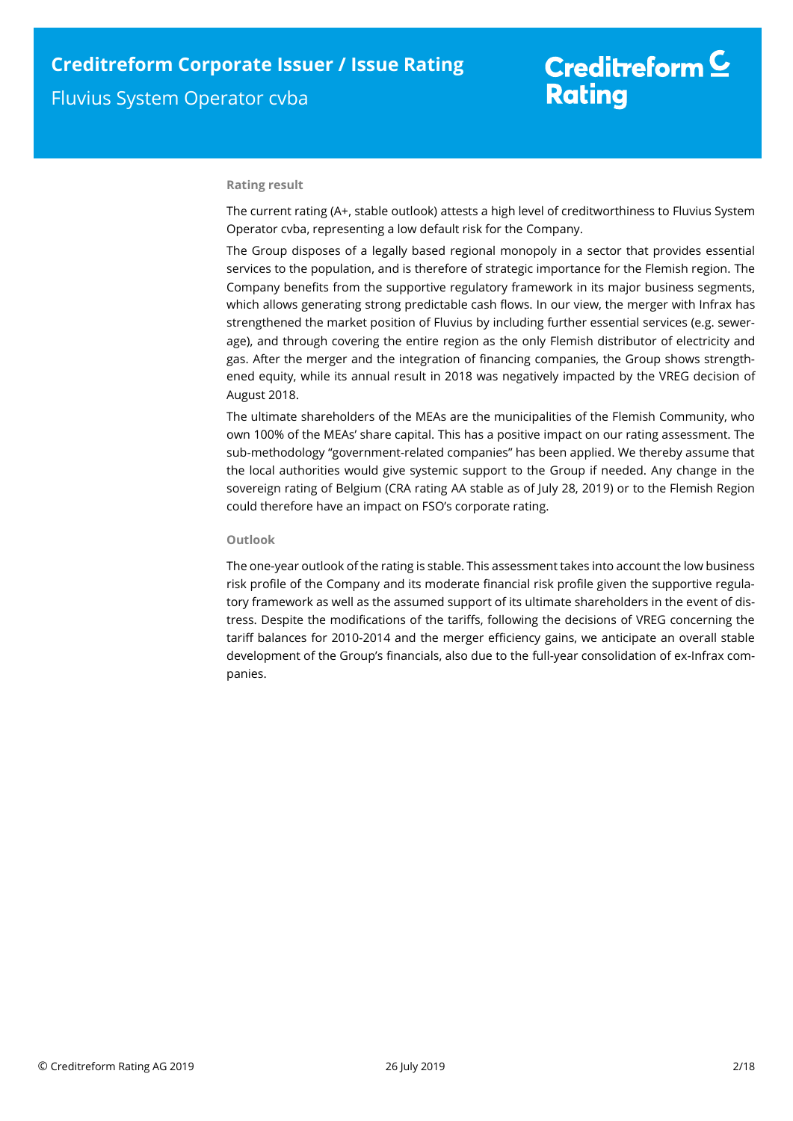# Creditreform  $\subseteq$ **Rating**

## **Rating result**

The current rating (A+, stable outlook) attests a high level of creditworthiness to Fluvius System Operator cvba, representing a low default risk for the Company.

The Group disposes of a legally based regional monopoly in a sector that provides essential services to the population, and is therefore of strategic importance for the Flemish region. The Company benefits from the supportive regulatory framework in its major business segments, which allows generating strong predictable cash flows. In our view, the merger with Infrax has strengthened the market position of Fluvius by including further essential services (e.g. sewerage), and through covering the entire region as the only Flemish distributor of electricity and gas. After the merger and the integration of financing companies, the Group shows strengthened equity, while its annual result in 2018 was negatively impacted by the VREG decision of August 2018.

The ultimate shareholders of the MEAs are the municipalities of the Flemish Community, who own 100% of the MEAs' share capital. This has a positive impact on our rating assessment. The sub-methodology "government-related companies" has been applied. We thereby assume that the local authorities would give systemic support to the Group if needed. Any change in the sovereign rating of Belgium (CRA rating AA stable as of July 28, 2019) or to the Flemish Region could therefore have an impact on FSO's corporate rating.

#### **Outlook**

The one-year outlook of the rating is stable. This assessment takes into account the low business risk profile of the Company and its moderate financial risk profile given the supportive regulatory framework as well as the assumed support of its ultimate shareholders in the event of distress. Despite the modifications of the tariffs, following the decisions of VREG concerning the tariff balances for 2010-2014 and the merger efficiency gains, we anticipate an overall stable development of the Group's financials, also due to the full-year consolidation of ex-Infrax companies.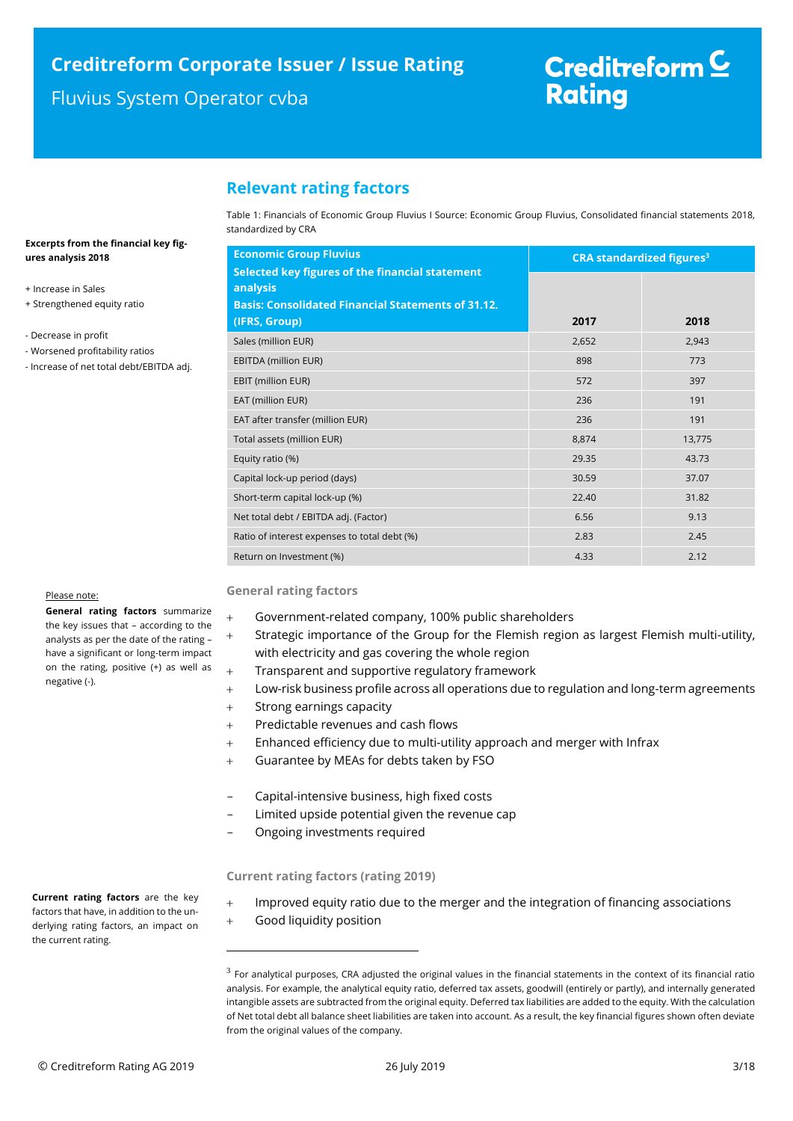**analysis** 

# Creditreform  $\subseteq$ **Rating**

**CRA standardized figures<sup>3</sup>**

# <span id="page-2-0"></span>**Relevant rating factors**

**Selected key figures of the financial statement** 

**Economic Group Fluvius**

Table 1: Financials of Economic Group Fluvius I Source: Economic Group Fluvius, Consolidated financial statements 2018, standardized by CRA

#### **Excerpts from the financial key figures analysis 2018**

- + Increase in Sales
- + Strengthened equity ratio
- Decrease in profit
- Worsened profitability ratios
- Increase of net total debt/EBITDA adj.

## **Basis: Consolidated Financial Statements of 31.12. (IFRS, Group) 2017 2018** Sales (million EUR) 2,652 2,943 EBITDA (million EUR) 898 898 773 EBIT (million EUR) 572 397 EAT (million EUR) 236 191 EAT after transfer (million EUR) 236 236 191 Total assets (million EUR) 8,874 13,775 Equity ratio (%) 29.35 43.73 Capital lock-up period (days) 30.59 37.07 Short-term capital lock-up (%) 22.40 31.82 Net total debt / EBITDA adj. (Factor) 6.56 6.56 9.13 Ratio of interest expenses to total debt (%) and 2.83 2.45 Return on Investment (%) and the set of the set of the set of the set of the set of the set of the set of the set of the set of the set of the set of the set of the set of the set of the set of the set of the set of the se

#### Please note:

**General rating factors** summarize the key issues that – according to the analysts as per the date of the rating – have a significant or long-term impact on the rating, positive (+) as well as negative (-).

## **General rating factors**

- Government-related company, 100% public shareholders
- Strategic importance of the Group for the Flemish region as largest Flemish multi-utility, with electricity and gas covering the whole region
- + Transparent and supportive regulatory framework
- Low-risk business profile across all operations due to regulation and long-term agreements
- Strong earnings capacity
- Predictable revenues and cash flows
- Enhanced efficiency due to multi-utility approach and merger with Infrax
- Guarantee by MEAs for debts taken by FSO
- Capital-intensive business, high fixed costs
- Limited upside potential given the revenue cap
- Ongoing investments required

#### **Current rating factors (rating 2019)**

- Improved equity ratio due to the merger and the integration of financing associations
- Good liquidity position

 $\overline{a}$ 

**Current rating factors** are the key factors that have, in addition to the underlying rating factors, an impact on

the current rating.

 $3$  For analytical purposes, CRA adjusted the original values in the financial statements in the context of its financial ratio analysis. For example, the analytical equity ratio, deferred tax assets, goodwill (entirely or partly), and internally generated intangible assets are subtracted from the original equity. Deferred tax liabilities are added to the equity. With the calculation of Net total debt all balance sheet liabilities are taken into account. As a result, the key financial figures shown often deviate from the original values of the company.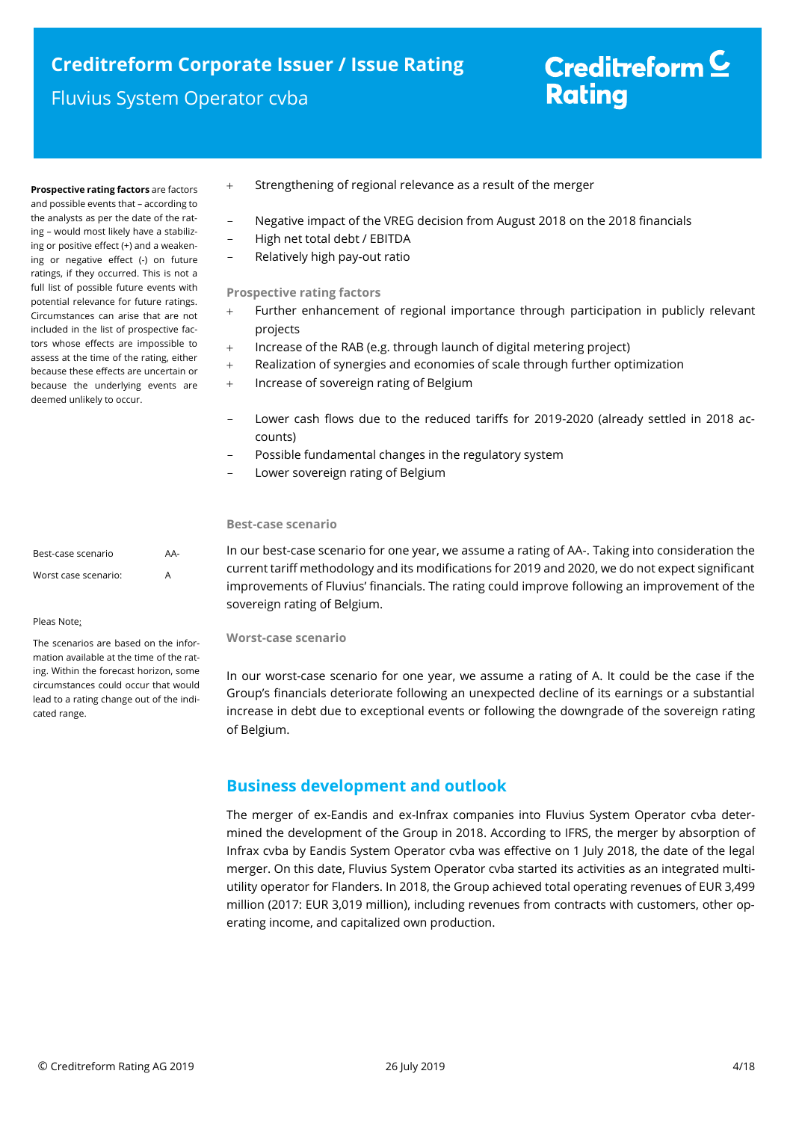# **Creditreform Corporate Issuer / Issue Rating**

Fluvius System Operator cvba

# Creditreform<sup>C</sup> **Rating**

**Prospective rating factors** are factors and possible events that – according to the analysts as per the date of the rating – would most likely have a stabilizing or positive effect (+) and a weakening or negative effect (-) on future ratings, if they occurred. This is not a full list of possible future events with potential relevance for future ratings. Circumstances can arise that are not included in the list of prospective factors whose effects are impossible to assess at the time of the rating, either because these effects are uncertain or because the underlying events are deemed unlikely to occur.

- Strengthening of regional relevance as a result of the merger
	- Negative impact of the VREG decision from August 2018 on the 2018 financials
	- High net total debt / EBITDA
- Relatively high pay-out ratio

## **Prospective rating factors**

- Further enhancement of regional importance through participation in publicly relevant projects
- Increase of the RAB (e.g. through launch of digital metering project)
- Realization of synergies and economies of scale through further optimization
- + Increase of sovereign rating of Belgium
- Lower cash flows due to the reduced tariffs for 2019-2020 (already settled in 2018 accounts)
- Possible fundamental changes in the regulatory system
- Lower sovereign rating of Belgium

## **Best-case scenario**

In our best-case scenario for one year, we assume a rating of AA-. Taking into consideration the current tariff methodology and its modifications for 2019 and 2020, we do not expect significant improvements of Fluvius' financials. The rating could improve following an improvement of the sovereign rating of Belgium.

**Worst-case scenario**

In our worst-case scenario for one year, we assume a rating of A. It could be the case if the Group's financials deteriorate following an unexpected decline of its earnings or a substantial increase in debt due to exceptional events or following the downgrade of the sovereign rating of Belgium.

# <span id="page-3-0"></span>**Business development and outlook**

The merger of ex-Eandis and ex-Infrax companies into Fluvius System Operator cvba determined the development of the Group in 2018. According to IFRS, the merger by absorption of Infrax cvba by Eandis System Operator cvba was effective on 1 July 2018, the date of the legal merger. On this date, Fluvius System Operator cvba started its activities as an integrated multiutility operator for Flanders. In 2018, the Group achieved total operating revenues of EUR 3,499 million (2017: EUR 3,019 million), including revenues from contracts with customers, other operating income, and capitalized own production.

# Best-case scenario AA-Worst case scenario: A

#### Pleas Note:

The scenarios are based on the information available at the time of the rating. Within the forecast horizon, some circumstances could occur that would lead to a rating change out of the indicated range.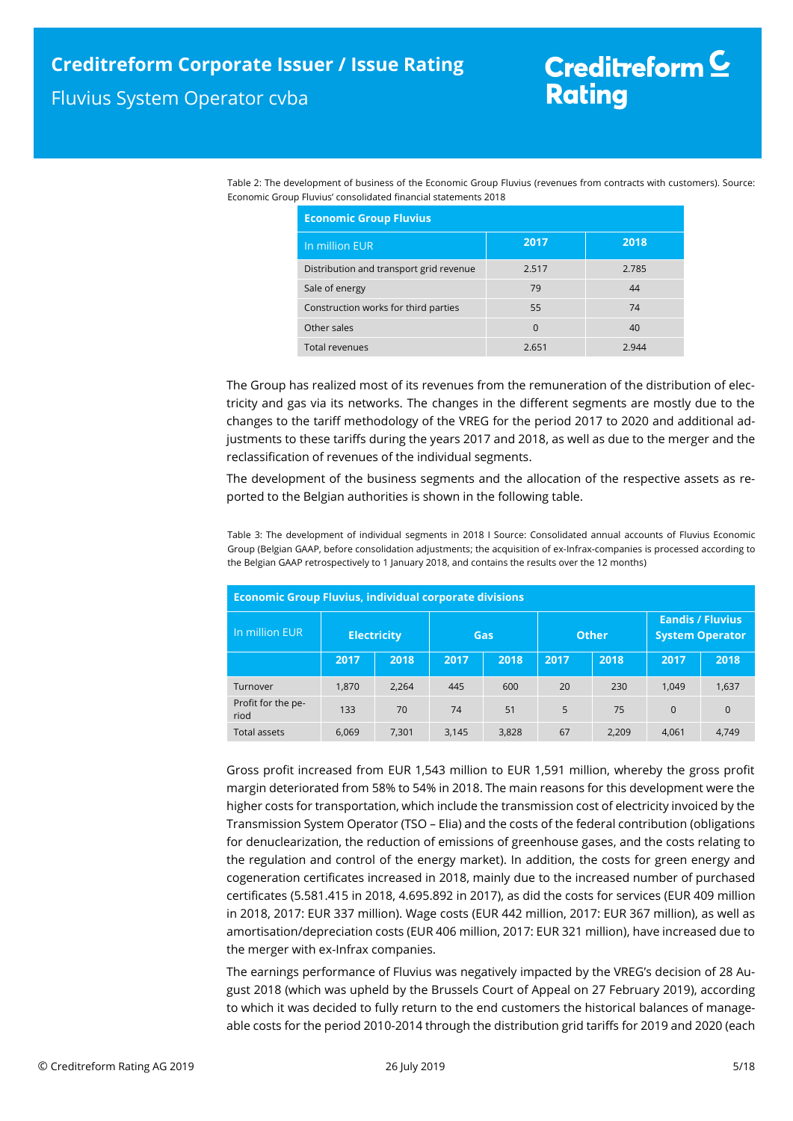Table 2: The development of business of the Economic Group Fluvius (revenues from contracts with customers). Source: Economic Group Fluvius' consolidated financial statements 2018

| <b>Economic Group Fluvius</b>           |          |       |  |  |  |
|-----------------------------------------|----------|-------|--|--|--|
| In million EUR                          | 2017     | 2018  |  |  |  |
| Distribution and transport grid revenue | 2.517    | 2.785 |  |  |  |
| Sale of energy                          | 79       | 44    |  |  |  |
| Construction works for third parties    | 55       | 74    |  |  |  |
| Other sales                             | $\Omega$ | 40    |  |  |  |
| <b>Total revenues</b>                   | 2.651    | 2.944 |  |  |  |

The Group has realized most of its revenues from the remuneration of the distribution of electricity and gas via its networks. The changes in the different segments are mostly due to the changes to the tariff methodology of the VREG for the period 2017 to 2020 and additional adjustments to these tariffs during the years 2017 and 2018, as well as due to the merger and the reclassification of revenues of the individual segments.

The development of the business segments and the allocation of the respective assets as reported to the Belgian authorities is shown in the following table.

Table 3: The development of individual segments in 2018 I Source: Consolidated annual accounts of Fluvius Economic Group (Belgian GAAP, before consolidation adjustments; the acquisition of ex-Infrax-companies is processed according to the Belgian GAAP retrospectively to 1 January 2018, and contains the results over the 12 months)

| <b>Economic Group Fluvius, individual corporate divisions</b> |                    |       |       |            |              |       |                                                   |          |
|---------------------------------------------------------------|--------------------|-------|-------|------------|--------------|-------|---------------------------------------------------|----------|
| In million EUR                                                | <b>Electricity</b> |       |       | <b>Gas</b> | <b>Other</b> |       | <b>Eandis / Fluvius</b><br><b>System Operator</b> |          |
|                                                               | 2017               | 2018  | 2017  | 2018       | 2017         | 2018  | 2017                                              | 2018     |
| Turnover                                                      | 1,870              | 2,264 | 445   | 600        | 20           | 230   | 1,049                                             | 1,637    |
| Profit for the pe-<br>riod                                    | 133                | 70    | 74    | 51         | 5            | 75    | $\Omega$                                          | $\Omega$ |
| <b>Total assets</b>                                           | 6,069              | 7,301 | 3,145 | 3,828      | 67           | 2,209 | 4,061                                             | 4,749    |

Gross profit increased from EUR 1,543 million to EUR 1,591 million, whereby the gross profit margin deteriorated from 58% to 54% in 2018. The main reasons for this development were the higher costs for transportation, which include the transmission cost of electricity invoiced by the Transmission System Operator (TSO – Elia) and the costs of the federal contribution (obligations for denuclearization, the reduction of emissions of greenhouse gases, and the costs relating to the regulation and control of the energy market). In addition, the costs for green energy and cogeneration certificates increased in 2018, mainly due to the increased number of purchased certificates (5.581.415 in 2018, 4.695.892 in 2017), as did the costs for services (EUR 409 million in 2018, 2017: EUR 337 million). Wage costs (EUR 442 million, 2017: EUR 367 million), as well as amortisation/depreciation costs (EUR 406 million, 2017: EUR 321 million), have increased due to the merger with ex-Infrax companies.

The earnings performance of Fluvius was negatively impacted by the VREG's decision of 28 August 2018 (which was upheld by the Brussels Court of Appeal on 27 February 2019), according to which it was decided to fully return to the end customers the historical balances of manageable costs for the period 2010-2014 through the distribution grid tariffs for 2019 and 2020 (each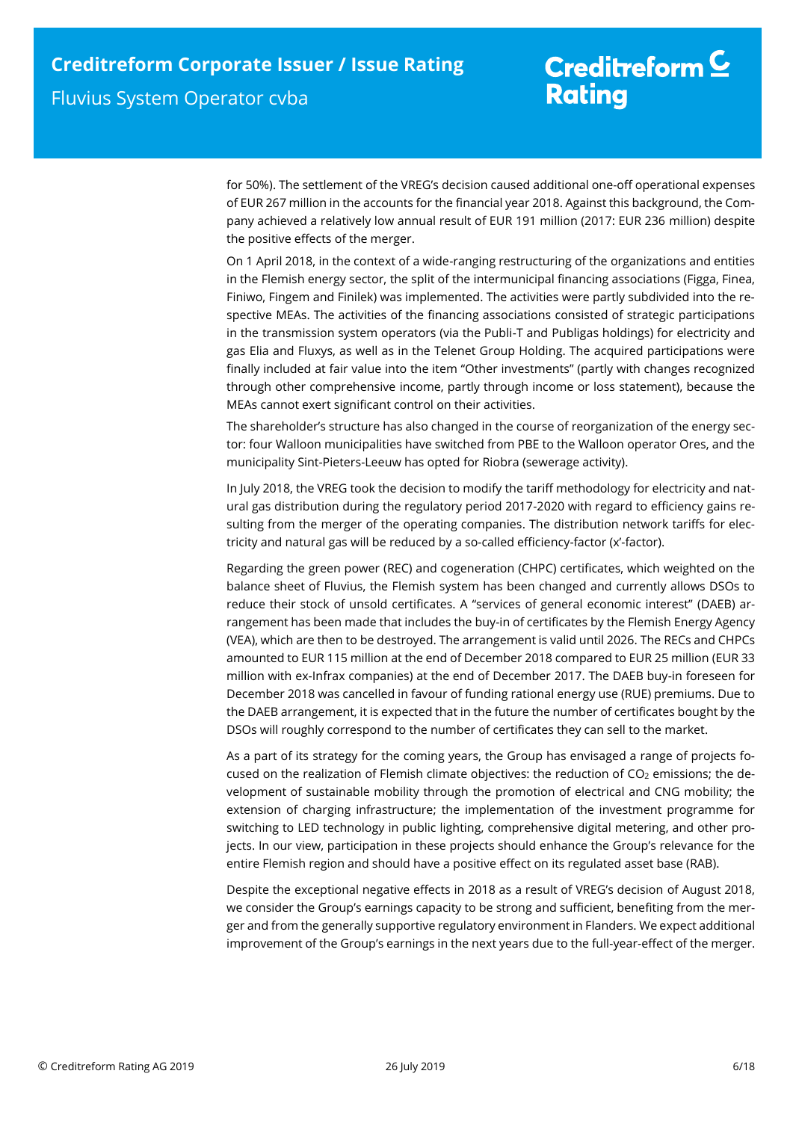for 50%). The settlement of the VREG's decision caused additional one-off operational expenses of EUR 267 million in the accounts for the financial year 2018. Against this background, the Company achieved a relatively low annual result of EUR 191 million (2017: EUR 236 million) despite the positive effects of the merger.

On 1 April 2018, in the context of a wide-ranging restructuring of the organizations and entities in the Flemish energy sector, the split of the intermunicipal financing associations (Figga, Finea, Finiwo, Fingem and Finilek) was implemented. The activities were partly subdivided into the respective MEAs. The activities of the financing associations consisted of strategic participations in the transmission system operators (via the Publi-T and Publigas holdings) for electricity and gas Elia and Fluxys, as well as in the Telenet Group Holding. The acquired participations were finally included at fair value into the item "Other investments" (partly with changes recognized through other comprehensive income, partly through income or loss statement), because the MEAs cannot exert significant control on their activities.

The shareholder's structure has also changed in the course of reorganization of the energy sector: four Walloon municipalities have switched from PBE to the Walloon operator Ores, and the municipality Sint-Pieters-Leeuw has opted for Riobra (sewerage activity).

In July 2018, the VREG took the decision to modify the tariff methodology for electricity and natural gas distribution during the regulatory period 2017-2020 with regard to efficiency gains resulting from the merger of the operating companies. The distribution network tariffs for electricity and natural gas will be reduced by a so-called efficiency-factor (x'-factor).

Regarding the green power (REC) and cogeneration (CHPC) certificates, which weighted on the balance sheet of Fluvius, the Flemish system has been changed and currently allows DSOs to reduce their stock of unsold certificates. A "services of general economic interest" (DAEB) arrangement has been made that includes the buy-in of certificates by the Flemish Energy Agency (VEA), which are then to be destroyed. The arrangement is valid until 2026. The RECs and CHPCs amounted to EUR 115 million at the end of December 2018 compared to EUR 25 million (EUR 33 million with ex-Infrax companies) at the end of December 2017. The DAEB buy-in foreseen for December 2018 was cancelled in favour of funding rational energy use (RUE) premiums. Due to the DAEB arrangement, it is expected that in the future the number of certificates bought by the DSOs will roughly correspond to the number of certificates they can sell to the market.

As a part of its strategy for the coming years, the Group has envisaged a range of projects focused on the realization of Flemish climate objectives: the reduction of  $CO<sub>2</sub>$  emissions; the development of sustainable mobility through the promotion of electrical and CNG mobility; the extension of charging infrastructure; the implementation of the investment programme for switching to LED technology in public lighting, comprehensive digital metering, and other projects. In our view, participation in these projects should enhance the Group's relevance for the entire Flemish region and should have a positive effect on its regulated asset base (RAB).

Despite the exceptional negative effects in 2018 as a result of VREG's decision of August 2018, we consider the Group's earnings capacity to be strong and sufficient, benefiting from the merger and from the generally supportive regulatory environment in Flanders. We expect additional improvement of the Group's earnings in the next years due to the full-year-effect of the merger.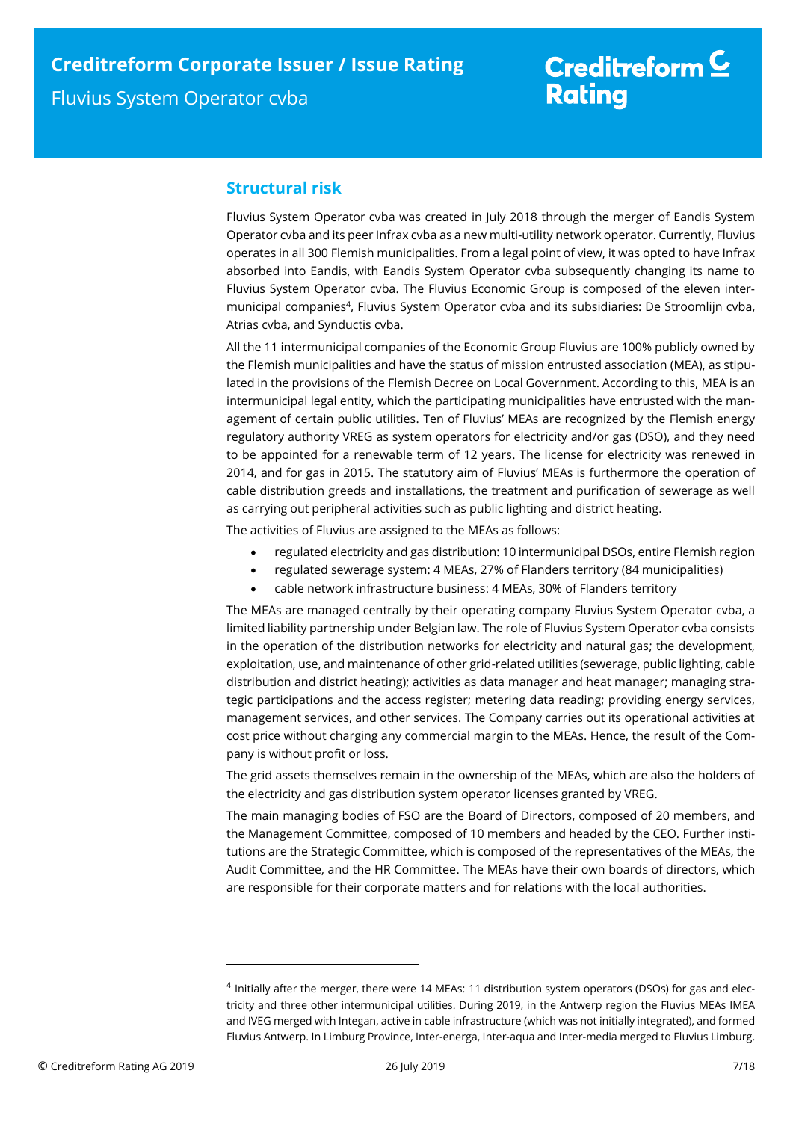## <span id="page-6-0"></span>**Structural risk**

Fluvius System Operator cvba was created in July 2018 through the merger of Eandis System Operator cvba and its peer Infrax cvba as a new multi-utility network operator. Currently, Fluvius operates in all 300 Flemish municipalities. From a legal point of view, it was opted to have Infrax absorbed into Eandis, with Eandis System Operator cvba subsequently changing its name to Fluvius System Operator cvba. The Fluvius Economic Group is composed of the eleven intermunicipal companies<sup>4</sup> , Fluvius System Operator cvba and its subsidiaries: De Stroomlijn cvba, Atrias cvba, and Synductis cvba.

All the 11 intermunicipal companies of the Economic Group Fluvius are 100% publicly owned by the Flemish municipalities and have the status of mission entrusted association (MEA), as stipulated in the provisions of the Flemish Decree on Local Government. According to this, MEA is an intermunicipal legal entity, which the participating municipalities have entrusted with the management of certain public utilities. Ten of Fluvius' MEAs are recognized by the Flemish energy regulatory authority VREG as system operators for electricity and/or gas (DSO), and they need to be appointed for a renewable term of 12 years. The license for electricity was renewed in 2014, and for gas in 2015. The statutory aim of Fluvius' MEAs is furthermore the operation of cable distribution greeds and installations, the treatment and purification of sewerage as well as carrying out peripheral activities such as public lighting and district heating.

The activities of Fluvius are assigned to the MEAs as follows:

- regulated electricity and gas distribution: 10 intermunicipal DSOs, entire Flemish region
- regulated sewerage system: 4 MEAs, 27% of Flanders territory (84 municipalities)
- cable network infrastructure business: 4 MEAs, 30% of Flanders territory

The MEAs are managed centrally by their operating company Fluvius System Operator cvba, a limited liability partnership under Belgian law. The role of Fluvius System Operator cvba consists in the operation of the distribution networks for electricity and natural gas; the development, exploitation, use, and maintenance of other grid-related utilities (sewerage, public lighting, cable distribution and district heating); activities as data manager and heat manager; managing strategic participations and the access register; metering data reading; providing energy services, management services, and other services. The Company carries out its operational activities at cost price without charging any commercial margin to the MEAs. Hence, the result of the Company is without profit or loss.

The grid assets themselves remain in the ownership of the MEAs, which are also the holders of the electricity and gas distribution system operator licenses granted by VREG.

The main managing bodies of FSO are the Board of Directors, composed of 20 members, and the Management Committee, composed of 10 members and headed by the CEO. Further institutions are the Strategic Committee, which is composed of the representatives of the MEAs, the Audit Committee, and the HR Committee. The MEAs have their own boards of directors, which are responsible for their corporate matters and for relations with the local authorities.

 $\overline{a}$ 

<sup>4</sup> Initially after the merger, there were 14 MEAs: 11 distribution system operators (DSOs) for gas and electricity and three other intermunicipal utilities. During 2019, in the Antwerp region the Fluvius MEAs IMEA and IVEG merged with Integan, active in cable infrastructure (which was not initially integrated), and formed Fluvius Antwerp. In Limburg Province, Inter-energa, Inter-aqua and Inter-media merged to Fluvius Limburg.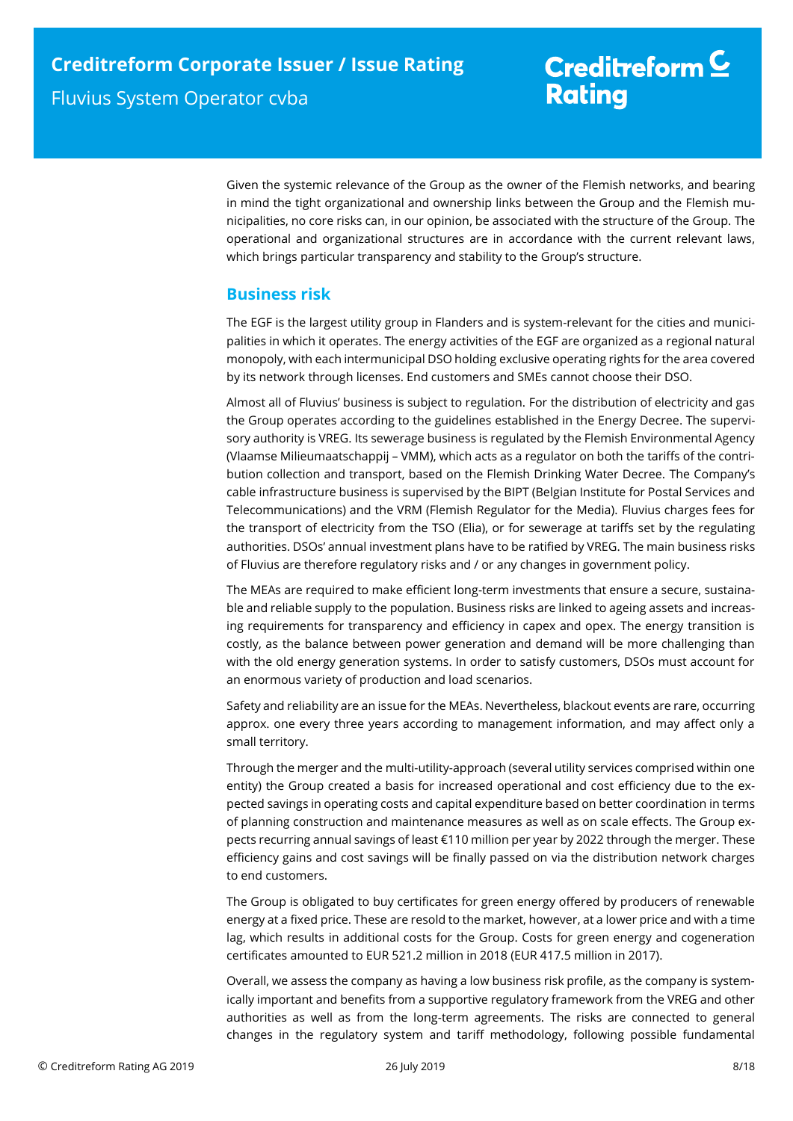Given the systemic relevance of the Group as the owner of the Flemish networks, and bearing in mind the tight organizational and ownership links between the Group and the Flemish municipalities, no core risks can, in our opinion, be associated with the structure of the Group. The operational and organizational structures are in accordance with the current relevant laws, which brings particular transparency and stability to the Group's structure.

# <span id="page-7-0"></span>**Business risk**

The EGF is the largest utility group in Flanders and is system-relevant for the cities and municipalities in which it operates. The energy activities of the EGF are organized as a regional natural monopoly, with each intermunicipal DSO holding exclusive operating rights for the area covered by its network through licenses. End customers and SMEs cannot choose their DSO.

Almost all of Fluvius' business is subject to regulation. For the distribution of electricity and gas the Group operates according to the guidelines established in the Energy Decree. The supervisory authority is VREG. Its sewerage business is regulated by the Flemish Environmental Agency (Vlaamse Milieumaatschappij – VMM), which acts as a regulator on both the tariffs of the contribution collection and transport, based on the Flemish Drinking Water Decree. The Company's cable infrastructure business is supervised by the BIPT (Belgian Institute for Postal Services and Telecommunications) and the VRM (Flemish Regulator for the Media). Fluvius charges fees for the transport of electricity from the TSO (Elia), or for sewerage at tariffs set by the regulating authorities. DSOs' annual investment plans have to be ratified by VREG. The main business risks of Fluvius are therefore regulatory risks and / or any changes in government policy.

The MEAs are required to make efficient long-term investments that ensure a secure, sustainable and reliable supply to the population. Business risks are linked to ageing assets and increasing requirements for transparency and efficiency in capex and opex. The energy transition is costly, as the balance between power generation and demand will be more challenging than with the old energy generation systems. In order to satisfy customers, DSOs must account for an enormous variety of production and load scenarios.

Safety and reliability are an issue for the MEAs. Nevertheless, blackout events are rare, occurring approx. one every three years according to management information, and may affect only a small territory.

Through the merger and the multi-utility-approach (several utility services comprised within one entity) the Group created a basis for increased operational and cost efficiency due to the expected savings in operating costs and capital expenditure based on better coordination in terms of planning construction and maintenance measures as well as on scale effects. The Group expects recurring annual savings of least €110 million per year by 2022 through the merger. These efficiency gains and cost savings will be finally passed on via the distribution network charges to end customers.

The Group is obligated to buy certificates for green energy offered by producers of renewable energy at a fixed price. These are resold to the market, however, at a lower price and with a time lag, which results in additional costs for the Group. Costs for green energy and cogeneration certificates amounted to EUR 521.2 million in 2018 (EUR 417.5 million in 2017).

Overall, we assess the company as having a low business risk profile, as the company is systemically important and benefits from a supportive regulatory framework from the VREG and other authorities as well as from the long-term agreements. The risks are connected to general changes in the regulatory system and tariff methodology, following possible fundamental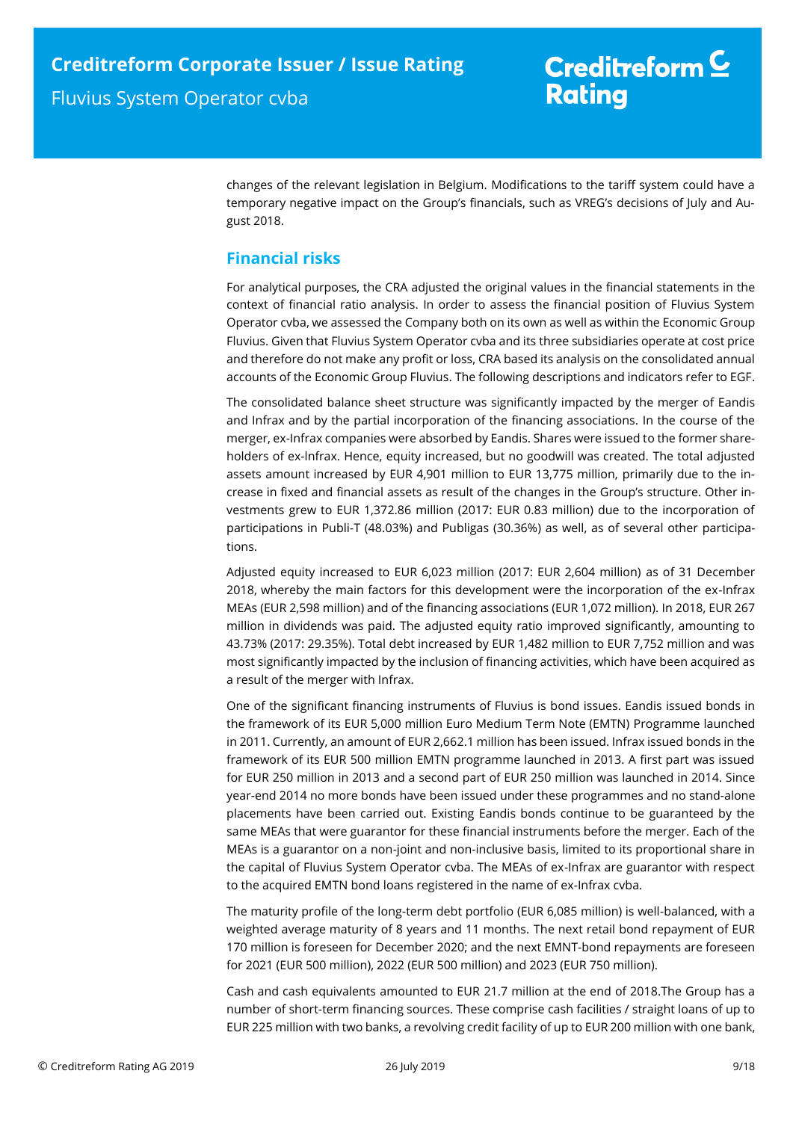changes of the relevant legislation in Belgium. Modifications to the tariff system could have a temporary negative impact on the Group's financials, such as VREG's decisions of July and August 2018.

# <span id="page-8-0"></span>**Financial risks**

For analytical purposes, the CRA adjusted the original values in the financial statements in the context of financial ratio analysis. In order to assess the financial position of Fluvius System Operator cvba, we assessed the Company both on its own as well as within the Economic Group Fluvius. Given that Fluvius System Operator cvba and its three subsidiaries operate at cost price and therefore do not make any profit or loss, CRA based its analysis on the consolidated annual accounts of the Economic Group Fluvius. The following descriptions and indicators refer to EGF.

The consolidated balance sheet structure was significantly impacted by the merger of Eandis and Infrax and by the partial incorporation of the financing associations. In the course of the merger, ex-Infrax companies were absorbed by Eandis. Shares were issued to the former shareholders of ex-lnfrax. Hence, equity increased, but no goodwill was created. The total adjusted assets amount increased by EUR 4,901 million to EUR 13,775 million, primarily due to the increase in fixed and financial assets as result of the changes in the Group's structure. Other investments grew to EUR 1,372.86 million (2017: EUR 0.83 million) due to the incorporation of participations in Publi-T (48.03%) and Publigas (30.36%) as well, as of several other participations.

Adjusted equity increased to EUR 6,023 million (2017: EUR 2,604 million) as of 31 December 2018, whereby the main factors for this development were the incorporation of the ex-Infrax MEAs (EUR 2,598 million) and of the financing associations (EUR 1,072 million). In 2018, EUR 267 million in dividends was paid. The adjusted equity ratio improved significantly, amounting to 43.73% (2017: 29.35%). Total debt increased by EUR 1,482 million to EUR 7,752 million and was most significantly impacted by the inclusion of financing activities, which have been acquired as a result of the merger with Infrax.

One of the significant financing instruments of Fluvius is bond issues. Eandis issued bonds in the framework of its EUR 5,000 million Euro Medium Term Note (EMTN) Programme launched in 2011. Currently, an amount of EUR 2,662.1 million has been issued. Infrax issued bonds in the framework of its EUR 500 million EMTN programme launched in 2013. A first part was issued for EUR 250 million in 2013 and a second part of EUR 250 million was launched in 2014. Since year-end 2014 no more bonds have been issued under these programmes and no stand-alone placements have been carried out. Existing Eandis bonds continue to be guaranteed by the same MEAs that were guarantor for these financial instruments before the merger. Each of the MEAs is a guarantor on a non-joint and non-inclusive basis, limited to its proportional share in the capital of Fluvius System Operator cvba. The MEAs of ex-Infrax are guarantor with respect to the acquired EMTN bond loans registered in the name of ex-Infrax cvba.

The maturity profile of the long-term debt portfolio (EUR 6,085 million) is well-balanced, with a weighted average maturity of 8 years and 11 months. The next retail bond repayment of EUR 170 million is foreseen for December 2020; and the next EMNT-bond repayments are foreseen for 2021 (EUR 500 million), 2022 (EUR 500 million) and 2023 (EUR 750 million).

Cash and cash equivalents amounted to EUR 21.7 million at the end of 2018.The Group has a number of short-term financing sources. These comprise cash facilities / straight loans of up to EUR 225 million with two banks, a revolving credit facility of up to EUR 200 million with one bank,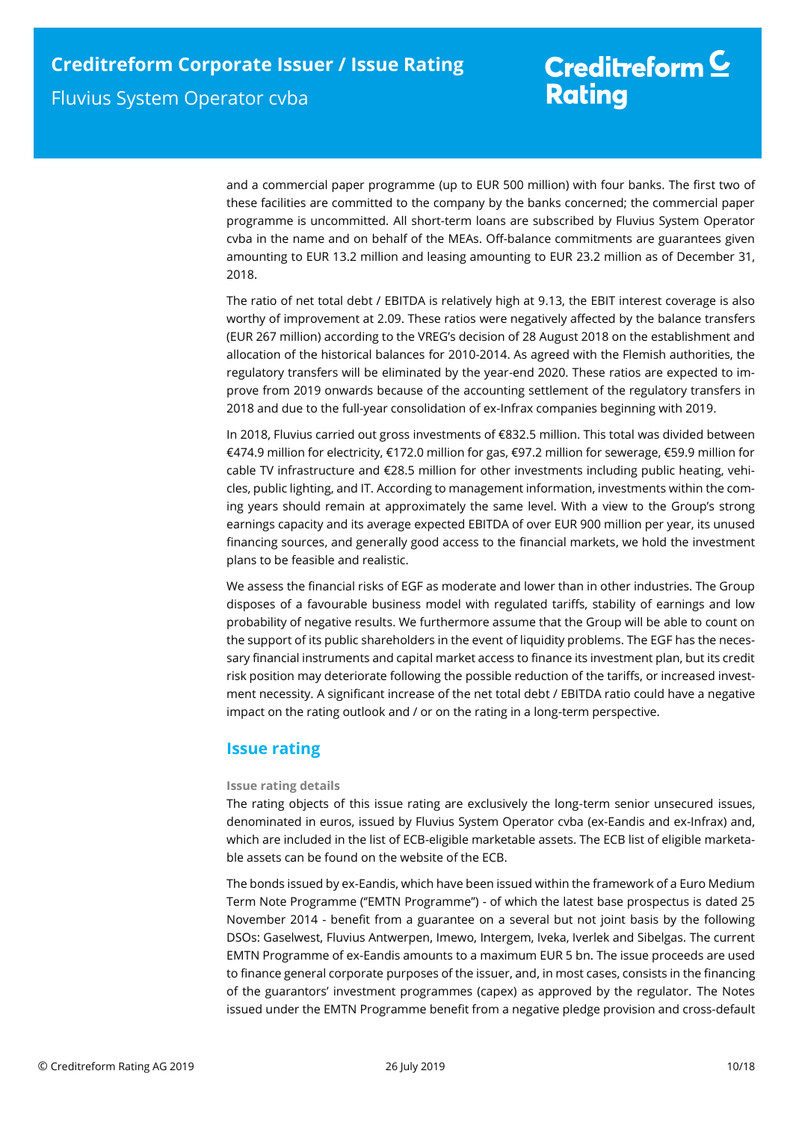and a commercial paper programme (up to EUR 500 million) with four banks. The first two of these facilities are committed to the company by the banks concerned; the commercial paper programme is uncommitted. All short-term loans are subscribed by Fluvius System Operator cvba in the name and on behalf of the MEAs. Off-balance commitments are guarantees given amounting to EUR 13.2 million and leasing amounting to EUR 23.2 million as of December 31, 2018.

The ratio of net total debt / EBITDA is relatively high at 9.13, the EBIT interest coverage is also worthy of improvement at 2.09. These ratios were negatively affected by the balance transfers (EUR 267 million) according to the VREG's decision of 28 August 2018 on the establishment and allocation of the historical balances for 2010-2014. As agreed with the Flemish authorities, the regulatory transfers will be eliminated by the year-end 2020. These ratios are expected to improve from 2019 onwards because of the accounting settlement of the regulatory transfers in 2018 and due to the full-year consolidation of ex-Infrax companies beginning with 2019.

In 2018, Fluvius carried out gross investments of €832.5 million. This total was divided between €474.9 million for electricity, €172.0 million for gas, €97.2 million for sewerage, €59.9 million for cable TV infrastructure and €28.5 million for other investments including public heating, vehicles, public lighting, and IT. According to management information, investments within the coming years should remain at approximately the same level. With a view to the Group's strong earnings capacity and its average expected EBITDA of over EUR 900 million per year, its unused financing sources, and generally good access to the financial markets, we hold the investment plans to be feasible and realistic.

We assess the financial risks of EGF as moderate and lower than in other industries. The Group disposes of a favourable business model with regulated tariffs, stability of earnings and low probability of negative results. We furthermore assume that the Group will be able to count on the support of its public shareholders in the event of liquidity problems. The EGF has the necessary financial instruments and capital market access to finance its investment plan, but its credit risk position may deteriorate following the possible reduction of the tariffs, or increased investment necessity. A significant increase of the net total debt / EBITDA ratio could have a negative impact on the rating outlook and / or on the rating in a long-term perspective.

## <span id="page-9-0"></span>**Issue rating**

## **Issue rating details**

The rating objects of this issue rating are exclusively the long-term senior unsecured issues, denominated in euros, issued by Fluvius System Operator cvba (ex-Eandis and ex-Infrax) and, which are included in the list of ECB-eligible marketable assets. The ECB list of eligible marketable assets can be found on the website of the ECB.

The bonds issued by ex-Eandis, which have been issued within the framework of a Euro Medium Term Note Programme (''EMTN Programme'') - of which the latest base prospectus is dated 25 November 2014 - benefit from a guarantee on a several but not joint basis by the following DSOs: Gaselwest, Fluvius Antwerpen, Imewo, Intergem, Iveka, Iverlek and Sibelgas. The current EMTN Programme of ex-Eandis amounts to a maximum EUR 5 bn. The issue proceeds are used to finance general corporate purposes of the issuer, and, in most cases, consists in the financing of the guarantors' investment programmes (capex) as approved by the regulator. The Notes issued under the EMTN Programme benefit from a negative pledge provision and cross-default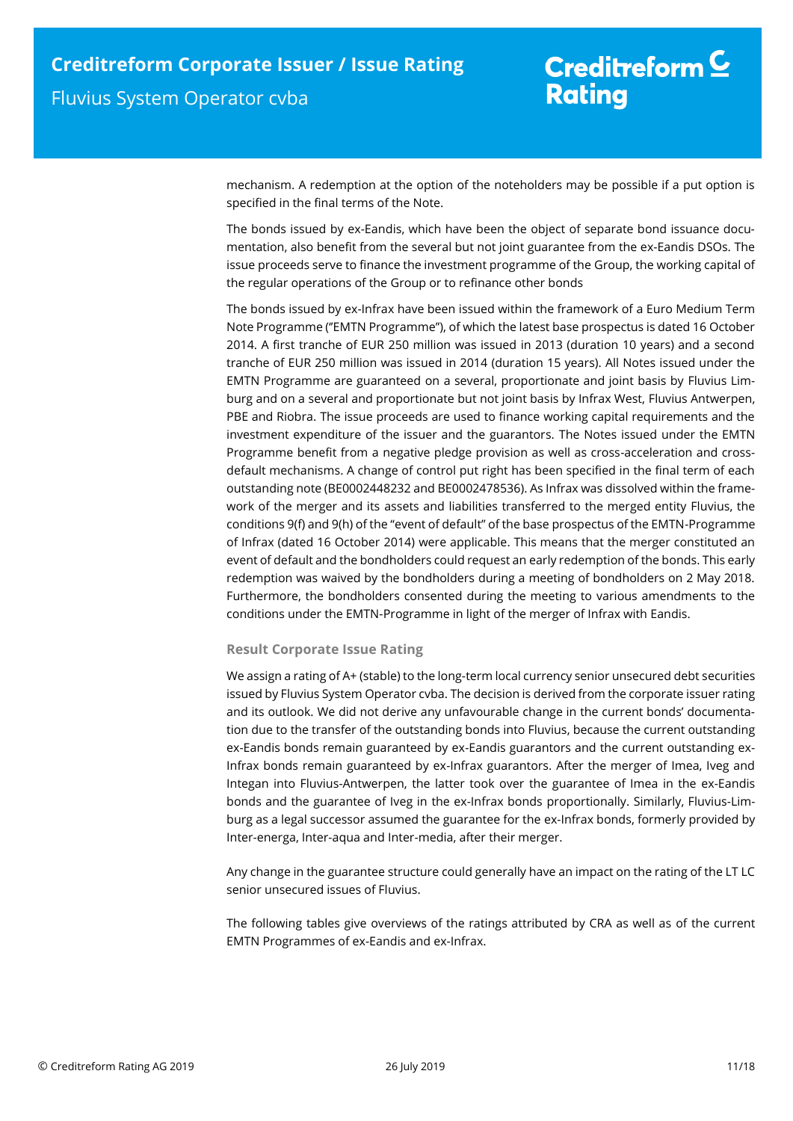mechanism. A redemption at the option of the noteholders may be possible if a put option is specified in the final terms of the Note.

The bonds issued by ex-Eandis, which have been the object of separate bond issuance documentation, also benefit from the several but not joint guarantee from the ex-Eandis DSOs. The issue proceeds serve to finance the investment programme of the Group, the working capital of the regular operations of the Group or to refinance other bonds

The bonds issued by ex-Infrax have been issued within the framework of a Euro Medium Term Note Programme (''EMTN Programme''), of which the latest base prospectus is dated 16 October 2014. A first tranche of EUR 250 million was issued in 2013 (duration 10 years) and a second tranche of EUR 250 million was issued in 2014 (duration 15 years). All Notes issued under the EMTN Programme are guaranteed on a several, proportionate and joint basis by Fluvius Limburg and on a several and proportionate but not joint basis by Infrax West, Fluvius Antwerpen, PBE and Riobra. The issue proceeds are used to finance working capital requirements and the investment expenditure of the issuer and the guarantors. The Notes issued under the EMTN Programme benefit from a negative pledge provision as well as cross-acceleration and crossdefault mechanisms. A change of control put right has been specified in the final term of each outstanding note (BE0002448232 and BE0002478536). As Infrax was dissolved within the framework of the merger and its assets and liabilities transferred to the merged entity Fluvius, the conditions 9(f) and 9(h) of the "event of default" of the base prospectus of the EMTN-Programme of Infrax (dated 16 October 2014) were applicable. This means that the merger constituted an event of default and the bondholders could request an early redemption of the bonds. This early redemption was waived by the bondholders during a meeting of bondholders on 2 May 2018. Furthermore, the bondholders consented during the meeting to various amendments to the conditions under the EMTN-Programme in light of the merger of Infrax with Eandis.

## **Result Corporate Issue Rating**

We assign a rating of A+ (stable) to the long-term local currency senior unsecured debt securities issued by Fluvius System Operator cvba. The decision is derived from the corporate issuer rating and its outlook. We did not derive any unfavourable change in the current bonds' documentation due to the transfer of the outstanding bonds into Fluvius, because the current outstanding ex-Eandis bonds remain guaranteed by ex-Eandis guarantors and the current outstanding ex-Infrax bonds remain guaranteed by ex-Infrax guarantors. After the merger of Imea, Iveg and Integan into Fluvius-Antwerpen, the latter took over the guarantee of Imea in the ex-Eandis bonds and the guarantee of Iveg in the ex-Infrax bonds proportionally. Similarly, Fluvius-Limburg as a legal successor assumed the guarantee for the ex-Infrax bonds, formerly provided by Inter-energa, Inter-aqua and Inter-media, after their merger.

Any change in the guarantee structure could generally have an impact on the rating of the LT LC senior unsecured issues of Fluvius.

The following tables give overviews of the ratings attributed by CRA as well as of the current EMTN Programmes of ex-Eandis and ex-Infrax.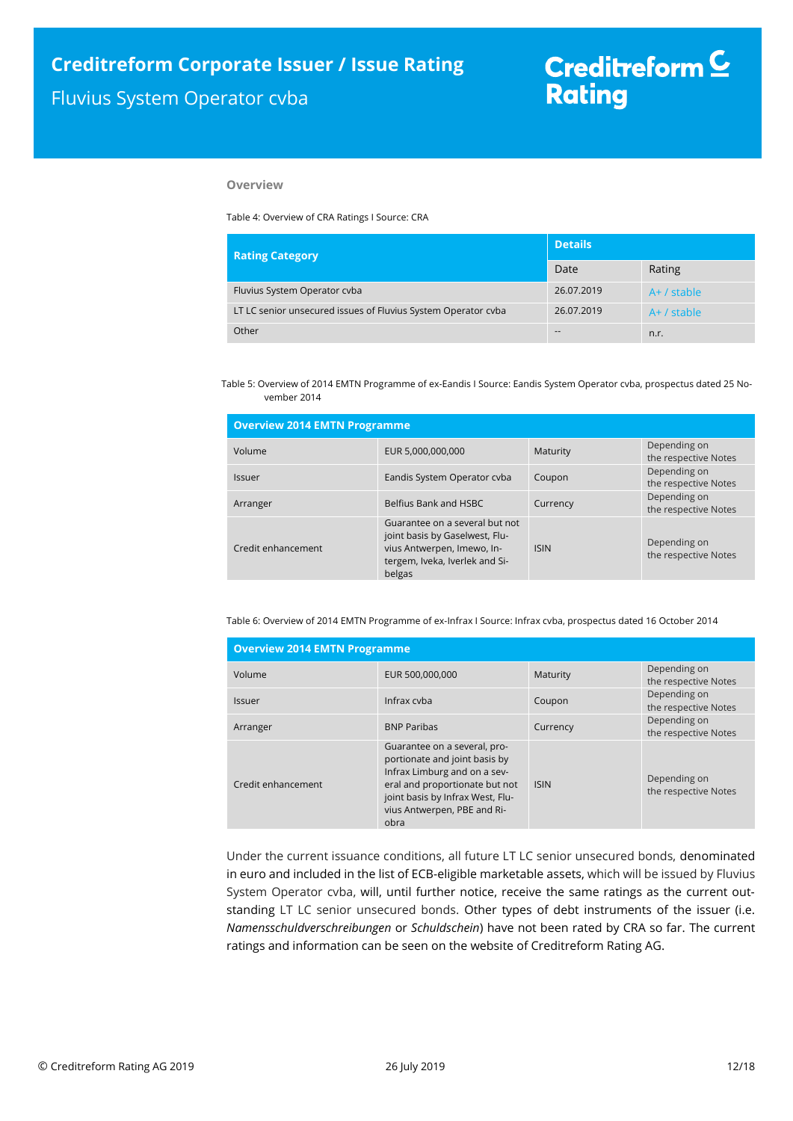## **Overview**

Table 4: Overview of CRA Ratings I Source: CRA

| <b>Rating Category</b>                                        | <b>Details</b> |               |  |
|---------------------------------------------------------------|----------------|---------------|--|
|                                                               | Date           | Rating        |  |
| Fluvius System Operator cyba                                  | 26.07.2019     | $A+$ / stable |  |
| LT LC senior unsecured issues of Fluvius System Operator cvba | 26.07.2019     | $A+$ / stable |  |
| Other                                                         | $- -$          | n.r.          |  |

Table 5: Overview of 2014 EMTN Programme of ex-Eandis I Source: Eandis System Operator cvba, prospectus dated 25 November 2014

| <b>Overview 2014 EMTN Programme</b> |                                                                                                                                            |             |                                      |  |  |
|-------------------------------------|--------------------------------------------------------------------------------------------------------------------------------------------|-------------|--------------------------------------|--|--|
| Volume                              | EUR 5,000,000,000                                                                                                                          | Maturity    | Depending on<br>the respective Notes |  |  |
| <b>Issuer</b>                       | Eandis System Operator cvba                                                                                                                | Coupon      | Depending on<br>the respective Notes |  |  |
| Arranger                            | Belfius Bank and HSBC                                                                                                                      | Currency    | Depending on<br>the respective Notes |  |  |
| Credit enhancement                  | Guarantee on a several but not<br>joint basis by Gaselwest, Flu-<br>vius Antwerpen, Imewo, In-<br>tergem, Iveka, Iverlek and Si-<br>belgas | <b>ISIN</b> | Depending on<br>the respective Notes |  |  |

Table 6: Overview of 2014 EMTN Programme of ex-Infrax I Source: Infrax cvba, prospectus dated 16 October 2014

| <b>Overview 2014 EMTN Programme</b> |                                                                                                                                                                                                            |             |                                      |  |  |
|-------------------------------------|------------------------------------------------------------------------------------------------------------------------------------------------------------------------------------------------------------|-------------|--------------------------------------|--|--|
| Volume                              | EUR 500,000,000                                                                                                                                                                                            | Maturity    | Depending on<br>the respective Notes |  |  |
| <b>Issuer</b>                       | Infrax cyba                                                                                                                                                                                                | Coupon      | Depending on<br>the respective Notes |  |  |
| Arranger                            | <b>BNP Paribas</b>                                                                                                                                                                                         | Currency    | Depending on<br>the respective Notes |  |  |
| Credit enhancement                  | Guarantee on a several, pro-<br>portionate and joint basis by<br>Infrax Limburg and on a sev-<br>eral and proportionate but not<br>joint basis by Infrax West, Flu-<br>vius Antwerpen, PBE and Ri-<br>obra | <b>ISIN</b> | Depending on<br>the respective Notes |  |  |

<span id="page-11-0"></span>Under the current issuance conditions, all future LT LC senior unsecured bonds, denominated in euro and included in the list of ECB-eligible marketable assets, which will be issued by Fluvius System Operator cvba, will, until further notice, receive the same ratings as the current outstanding LT LC senior unsecured bonds. Other types of debt instruments of the issuer (i.e. *Namensschuldverschreibungen* or *Schuldschein*) have not been rated by CRA so far. The current ratings and information can be seen on the website of Creditreform Rating AG.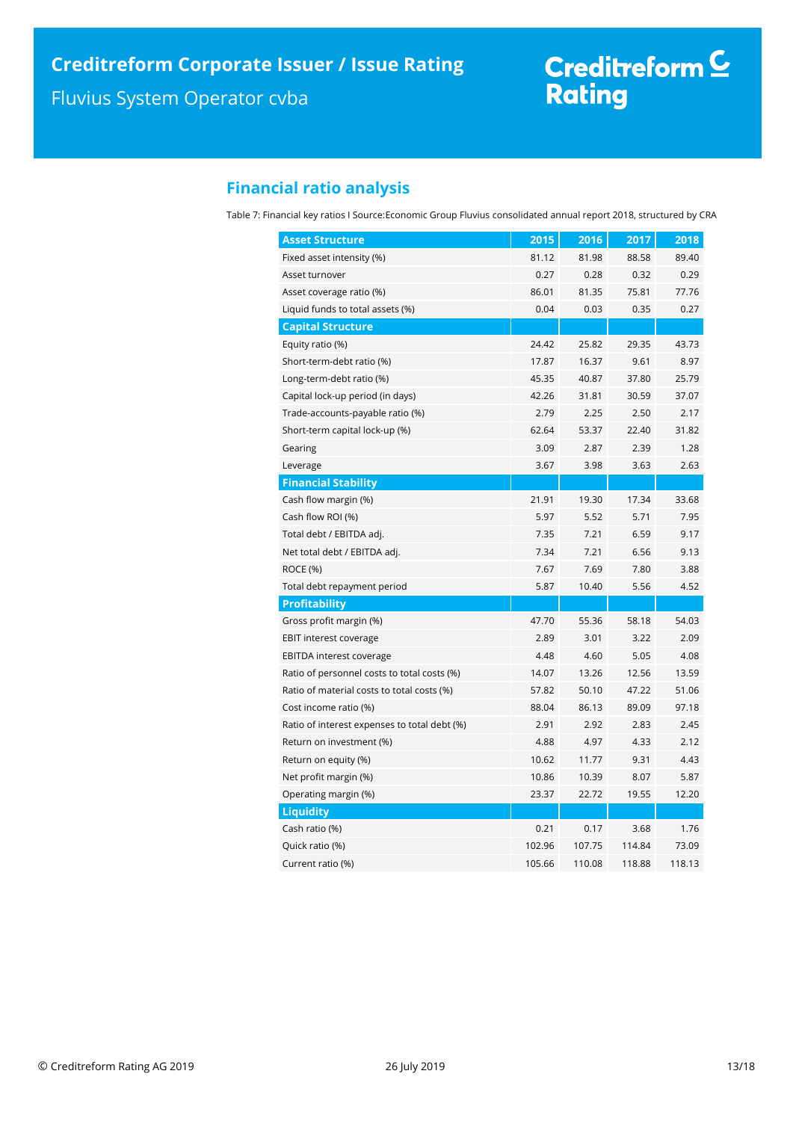# Creditreform <mark>C</mark><br>Rating

# **Financial ratio analysis**

Table 7: Financial key ratios I Source:Economic Group Fluvius consolidated annual report 2018, structured by CRA

| <b>Asset Structure</b>                       | 2015   | 2016   | 2017   | 2018   |
|----------------------------------------------|--------|--------|--------|--------|
| Fixed asset intensity (%)                    | 81.12  | 81.98  | 88.58  | 89.40  |
| Asset turnover                               | 0.27   | 0.28   | 0.32   | 0.29   |
| Asset coverage ratio (%)                     | 86.01  | 81.35  | 75.81  | 77.76  |
| Liquid funds to total assets (%)             | 0.04   | 0.03   | 0.35   | 0.27   |
| <b>Capital Structure</b>                     |        |        |        |        |
| Equity ratio (%)                             | 24.42  | 25.82  | 29.35  | 43.73  |
| Short-term-debt ratio (%)                    | 17.87  | 16.37  | 9.61   | 8.97   |
| Long-term-debt ratio (%)                     | 45.35  | 40.87  | 37.80  | 25.79  |
| Capital lock-up period (in days)             | 42.26  | 31.81  | 30.59  | 37.07  |
| Trade-accounts-payable ratio (%)             | 2.79   | 2.25   | 2.50   | 2.17   |
| Short-term capital lock-up (%)               | 62.64  | 53.37  | 22.40  | 31.82  |
| Gearing                                      | 3.09   | 2.87   | 2.39   | 1.28   |
| Leverage                                     | 3.67   | 3.98   | 3.63   | 2.63   |
| <b>Financial Stability</b>                   |        |        |        |        |
| Cash flow margin (%)                         | 21.91  | 19.30  | 17.34  | 33.68  |
| Cash flow ROI (%)                            | 5.97   | 5.52   | 5.71   | 7.95   |
| Total debt / EBITDA adj.                     | 7.35   | 7.21   | 6.59   | 9.17   |
| Net total debt / EBITDA adj.                 | 7.34   | 7.21   | 6.56   | 9.13   |
| ROCE (%)                                     | 7.67   | 7.69   | 7.80   | 3.88   |
| Total debt repayment period                  | 5.87   | 10.40  | 5.56   | 4.52   |
| <b>Profitability</b>                         |        |        |        |        |
| Gross profit margin (%)                      | 47.70  | 55.36  | 58.18  | 54.03  |
| <b>EBIT interest coverage</b>                | 2.89   | 3.01   | 3.22   | 2.09   |
| <b>EBITDA interest coverage</b>              | 4.48   | 4.60   | 5.05   | 4.08   |
| Ratio of personnel costs to total costs (%)  | 14.07  | 13.26  | 12.56  | 13.59  |
| Ratio of material costs to total costs (%)   | 57.82  | 50.10  | 47.22  | 51.06  |
| Cost income ratio (%)                        | 88.04  | 86.13  | 89.09  | 97.18  |
| Ratio of interest expenses to total debt (%) | 2.91   | 2.92   | 2.83   | 2.45   |
| Return on investment (%)                     | 4.88   | 4.97   | 4.33   | 2.12   |
| Return on equity (%)                         | 10.62  | 11.77  | 9.31   | 4.43   |
| Net profit margin (%)                        | 10.86  | 10.39  | 8.07   | 5.87   |
| Operating margin (%)                         | 23.37  | 22.72  | 19.55  | 12.20  |
| Liquidity                                    |        |        |        |        |
| Cash ratio (%)                               | 0.21   | 0.17   | 3.68   | 1.76   |
| Quick ratio (%)                              | 102.96 | 107.75 | 114.84 | 73.09  |
| Current ratio (%)                            | 105.66 | 110.08 | 118.88 | 118.13 |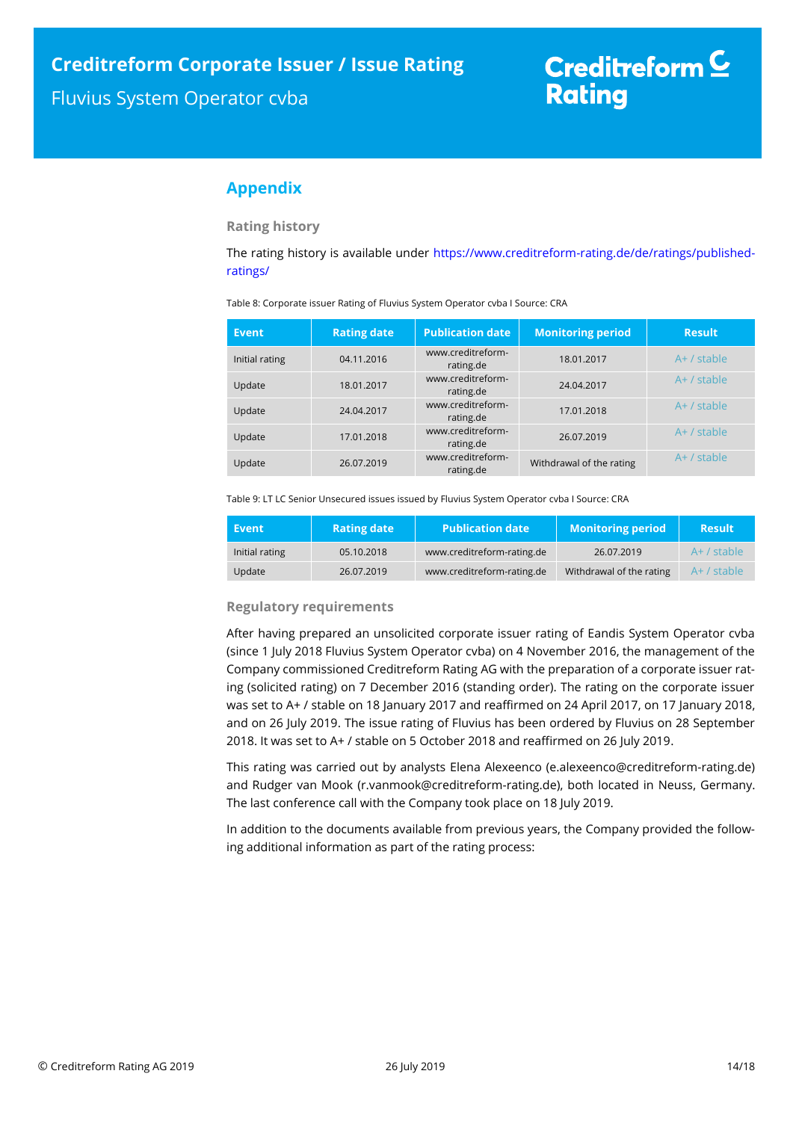# <span id="page-13-0"></span>**Appendix**

**Rating history**

The rating history is available under [https://www.creditreform-rating.de/de/ratings/published](https://www.creditreform-rating.de/de/ratings/published-ratings/)[ratings/](https://www.creditreform-rating.de/de/ratings/published-ratings/)

Table 8: Corporate issuer Rating of Fluvius System Operator cvba I Source: CRA

| <b>Event</b>   | <b>Rating date</b> | <b>Publication date</b>        | <b>Monitoring period</b> | <b>Result</b> |
|----------------|--------------------|--------------------------------|--------------------------|---------------|
| Initial rating | 04.11.2016         | www.creditreform-<br>rating.de | 18.01.2017               | $A+$ / stable |
| Update         | 18.01.2017         | www.creditreform-<br>rating.de | 24.04.2017               | $A+$ / stable |
| Update         | 24.04.2017         | www.creditreform-<br>rating.de | 17.01.2018               | $A+$ / stable |
| Update         | 17.01.2018         | www.creditreform-<br>rating.de | 26.07.2019               | $A+$ / stable |
| Update         | 26.07.2019         | www.creditreform-<br>rating.de | Withdrawal of the rating | $A+$ / stable |

Table 9: LT LC Senior Unsecured issues issued by Fluvius System Operator cvba I Source: CRA

| l Event        | <b>Rating date</b> | <b>Publication date</b>    | <b>Monitoring period</b> | <b>Result</b> |
|----------------|--------------------|----------------------------|--------------------------|---------------|
| Initial rating | 05.10.2018         | www.creditreform-rating.de | 26.07.2019               | $A+$ / stable |
| Update         | 26.07.2019         | www.creditreform-rating.de | Withdrawal of the rating | $A+$ / stable |

## **Regulatory requirements**

After having prepared an unsolicited corporate issuer rating of Eandis System Operator cvba (since 1 July 2018 Fluvius System Operator cvba) on 4 November 2016, the management of the Company commissioned Creditreform Rating AG with the preparation of a corporate issuer rating (solicited rating) on 7 December 2016 (standing order). The rating on the corporate issuer was set to A+ / stable on 18 January 2017 and reaffirmed on 24 April 2017, on 17 January 2018, and on 26 July 2019. The issue rating of Fluvius has been ordered by Fluvius on 28 September 2018. It was set to A+ / stable on 5 October 2018 and reaffirmed on 26 July 2019.

This rating was carried out by analysts Elena Alexeenco (e.alexeenco@creditreform-rating.de) and Rudger van Mook (r.vanmook@creditreform-rating.de), both located in Neuss, Germany. The last conference call with the Company took place on 18 July 2019.

In addition to the documents available from previous years, the Company provided the following additional information as part of the rating process: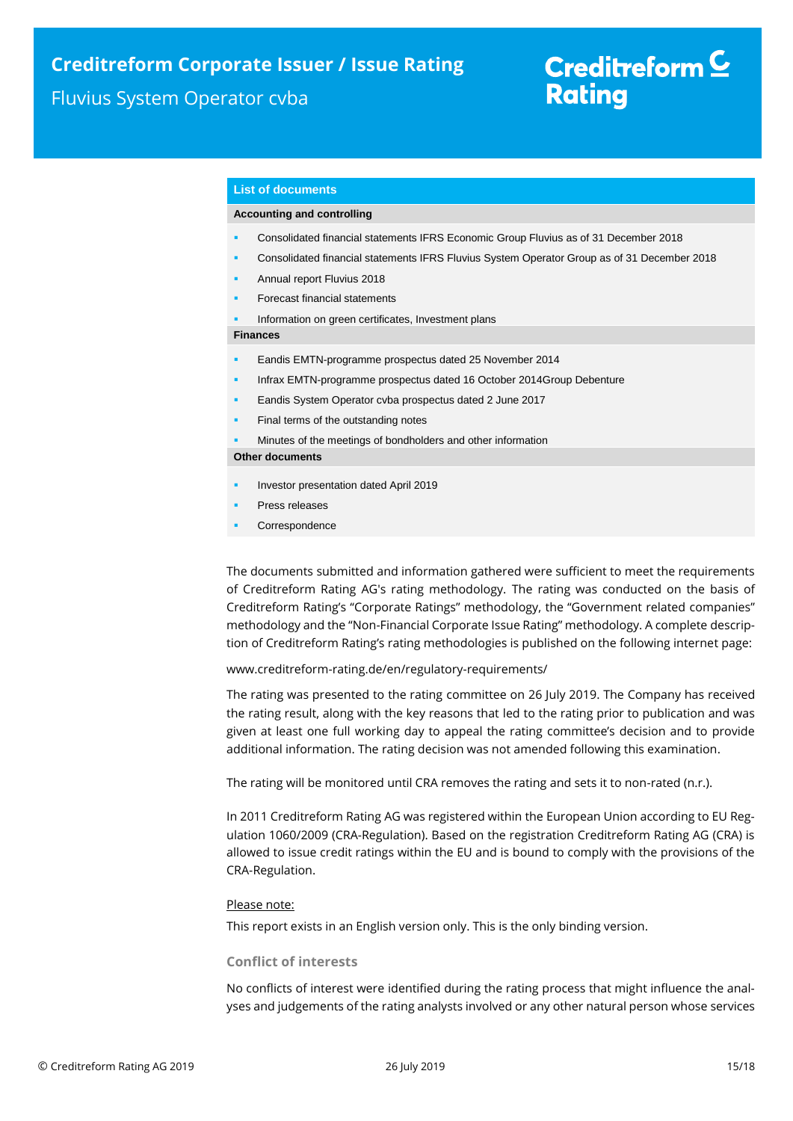# $C$ reditreform  $C$ **Rating**

## **List of documents**

## **Accounting and controlling**

- Consolidated financial statements IFRS Economic Group Fluvius as of 31 December 2018
- Consolidated financial statements IFRS Fluvius System Operator Group as of 31 December 2018
- Annual report Fluvius 2018
- Forecast financial statements
- Information on green certificates, Investment plans

#### **Finances**

- Eandis EMTN-programme prospectus dated 25 November 2014
- Infrax EMTN-programme prospectus dated 16 October 2014Group Debenture
- Eandis System Operator cvba prospectus dated 2 June 2017
- Final terms of the outstanding notes
- Minutes of the meetings of bondholders and other information

**Other documents**

- Investor presentation dated April 2019
- Press releases
- Correspondence

The documents submitted and information gathered were sufficient to meet the requirements of Creditreform Rating AG's rating methodology. The rating was conducted on the basis of Creditreform Rating's "Corporate Ratings" methodology, the "Government related companies" methodology and the "Non-Financial Corporate Issue Rating" methodology. A complete description of Creditreform Rating's rating methodologies is published on the following internet page:

#### [www.creditreform-rating.de/](http://www.creditreform-rating.de/)en/regulatory-requirements/

The rating was presented to the rating committee on 26 July 2019. The Company has received the rating result, along with the key reasons that led to the rating prior to publication and was given at least one full working day to appeal the rating committee's decision and to provide additional information. The rating decision was not amended following this examination.

The rating will be monitored until CRA removes the rating and sets it to non-rated (n.r.).

In 2011 Creditreform Rating AG was registered within the European Union according to EU Regulation 1060/2009 (CRA-Regulation). Based on the registration Creditreform Rating AG (CRA) is allowed to issue credit ratings within the EU and is bound to comply with the provisions of the CRA-Regulation.

## Please note:

This report exists in an English version only. This is the only binding version.

## **Conflict of interests**

No conflicts of interest were identified during the rating process that might influence the analyses and judgements of the rating analysts involved or any other natural person whose services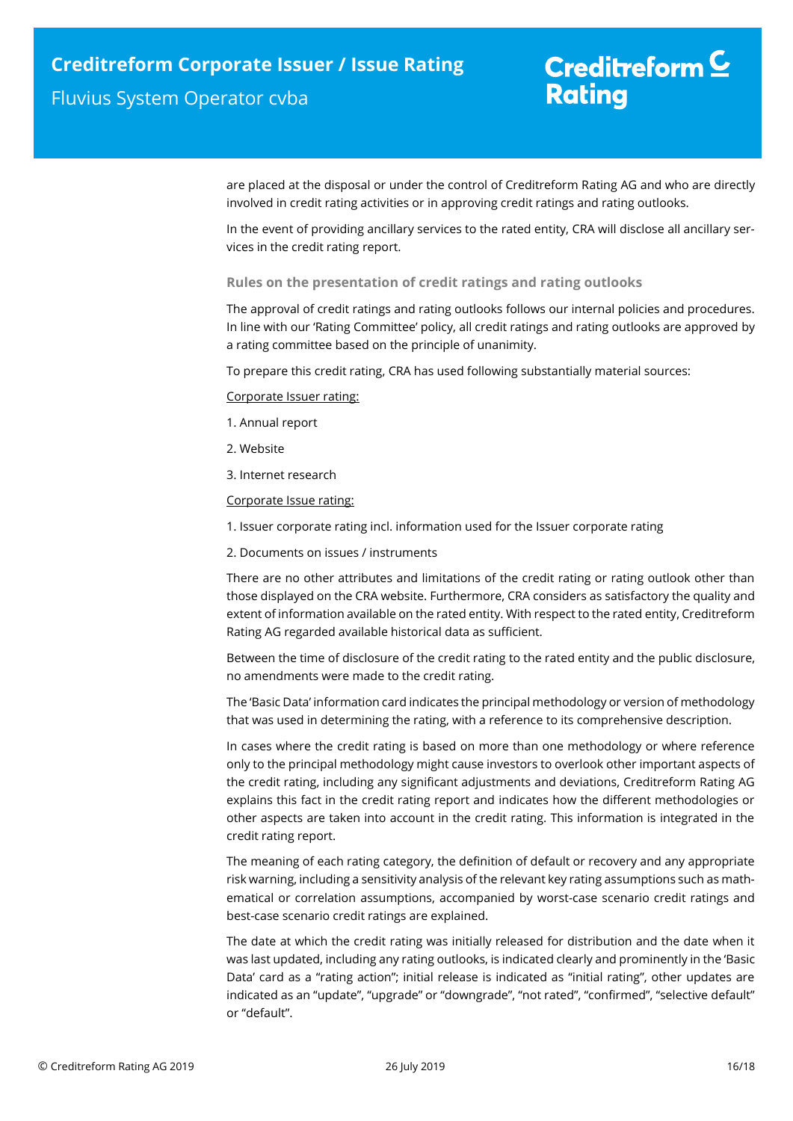# Creditreform  $C$ **Rating**

are placed at the disposal or under the control of Creditreform Rating AG and who are directly involved in credit rating activities or in approving credit ratings and rating outlooks.

In the event of providing ancillary services to the rated entity, CRA will disclose all ancillary services in the credit rating report.

## **Rules on the presentation of credit ratings and rating outlooks**

The approval of credit ratings and rating outlooks follows our internal policies and procedures. In line with our 'Rating Committee' policy, all credit ratings and rating outlooks are approved by a rating committee based on the principle of unanimity.

To prepare this credit rating, CRA has used following substantially material sources:

Corporate Issuer rating:

- 1. Annual report
- 2. Website
- 3. Internet research

Corporate Issue rating:

- 1. Issuer corporate rating incl. information used for the Issuer corporate rating
- 2. Documents on issues / instruments

There are no other attributes and limitations of the credit rating or rating outlook other than those displayed on the CRA website. Furthermore, CRA considers as satisfactory the quality and extent of information available on the rated entity. With respect to the rated entity, Creditreform Rating AG regarded available historical data as sufficient.

Between the time of disclosure of the credit rating to the rated entity and the public disclosure, no amendments were made to the credit rating.

The 'Basic Data' information card indicates the principal methodology or version of methodology that was used in determining the rating, with a reference to its comprehensive description.

In cases where the credit rating is based on more than one methodology or where reference only to the principal methodology might cause investors to overlook other important aspects of the credit rating, including any significant adjustments and deviations, Creditreform Rating AG explains this fact in the credit rating report and indicates how the different methodologies or other aspects are taken into account in the credit rating. This information is integrated in the credit rating report.

The meaning of each rating category, the definition of default or recovery and any appropriate risk warning, including a sensitivity analysis of the relevant key rating assumptions such as mathematical or correlation assumptions, accompanied by worst-case scenario credit ratings and best-case scenario credit ratings are explained.

The date at which the credit rating was initially released for distribution and the date when it was last updated, including any rating outlooks, is indicated clearly and prominently in the 'Basic Data' card as a "rating action"; initial release is indicated as "initial rating", other updates are indicated as an "update", "upgrade" or "downgrade", "not rated", "confirmed", "selective default" or "default".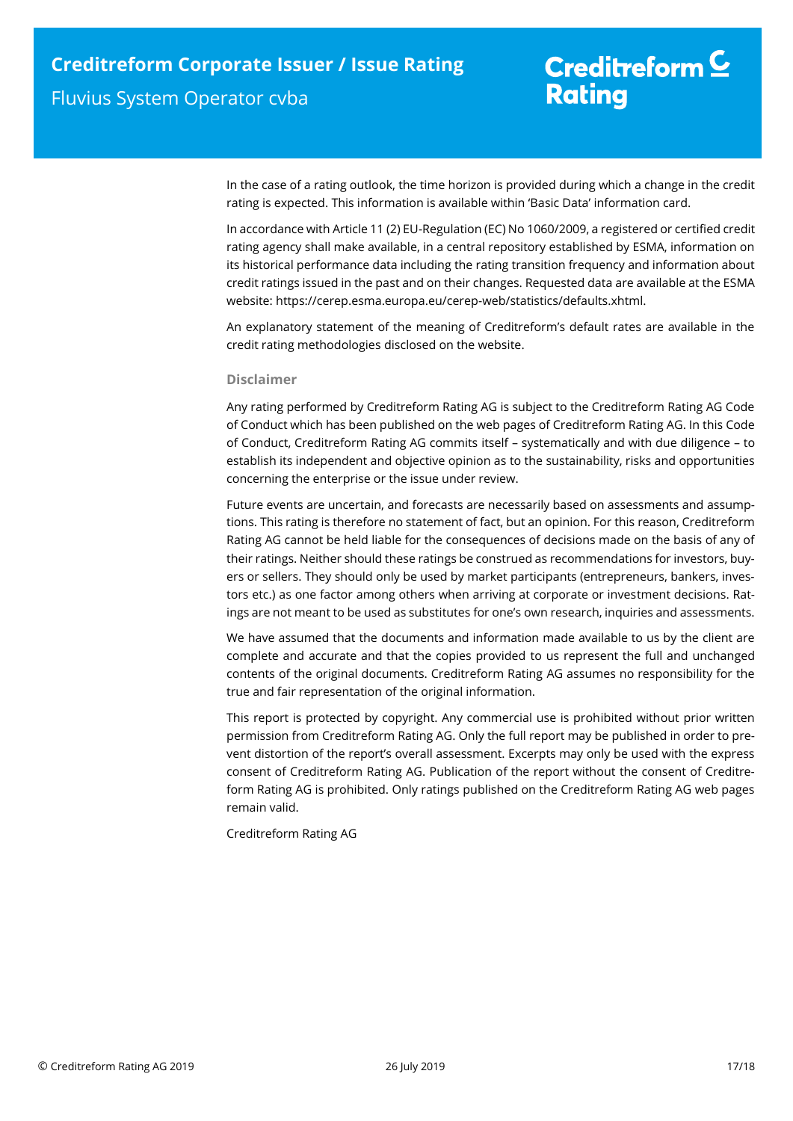# Creditreform  $C$ **Rating**

In the case of a rating outlook, the time horizon is provided during which a change in the credit rating is expected. This information is available within 'Basic Data' information card.

In accordance with Article 11 (2) EU-Regulation (EC) No 1060/2009, a registered or certified credit rating agency shall make available, in a central repository established by ESMA, information on its historical performance data including the rating transition frequency and information about credit ratings issued in the past and on their changes. Requested data are available at the ESMA website: https://cerep.esma.europa.eu/cerep-web/statistics/defaults.xhtml.

An explanatory statement of the meaning of Creditreform's default rates are available in the credit rating methodologies disclosed on the website.

## **Disclaimer**

Any rating performed by Creditreform Rating AG is subject to the Creditreform Rating AG Code of Conduct which has been published on the web pages of Creditreform Rating AG. In this Code of Conduct, Creditreform Rating AG commits itself – systematically and with due diligence – to establish its independent and objective opinion as to the sustainability, risks and opportunities concerning the enterprise or the issue under review.

Future events are uncertain, and forecasts are necessarily based on assessments and assumptions. This rating is therefore no statement of fact, but an opinion. For this reason, Creditreform Rating AG cannot be held liable for the consequences of decisions made on the basis of any of their ratings. Neither should these ratings be construed as recommendations for investors, buyers or sellers. They should only be used by market participants (entrepreneurs, bankers, investors etc.) as one factor among others when arriving at corporate or investment decisions. Ratings are not meant to be used as substitutes for one's own research, inquiries and assessments.

We have assumed that the documents and information made available to us by the client are complete and accurate and that the copies provided to us represent the full and unchanged contents of the original documents. Creditreform Rating AG assumes no responsibility for the true and fair representation of the original information.

This report is protected by copyright. Any commercial use is prohibited without prior written permission from Creditreform Rating AG. Only the full report may be published in order to prevent distortion of the report's overall assessment. Excerpts may only be used with the express consent of Creditreform Rating AG. Publication of the report without the consent of Creditreform Rating AG is prohibited. Only ratings published on the Creditreform Rating AG web pages remain valid.

Creditreform Rating AG